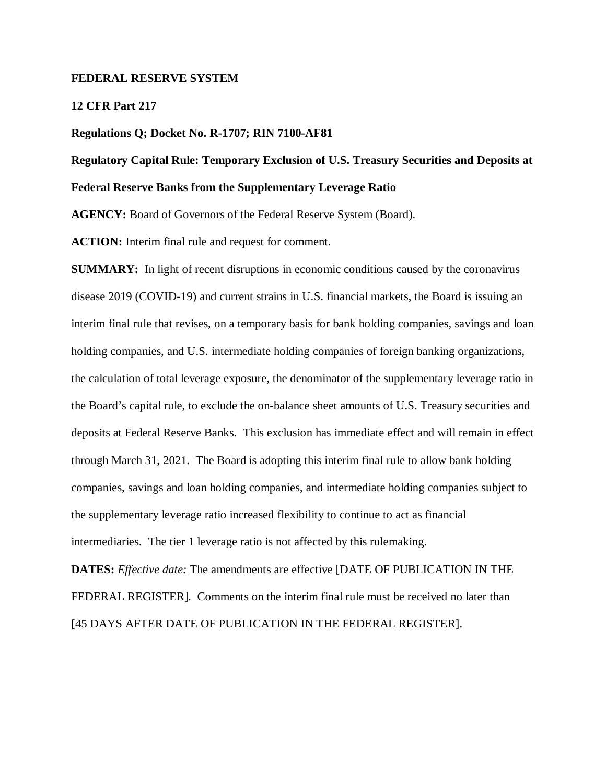#### **FEDERAL RESERVE SYSTEM**

#### **12 CFR Part 217**

#### **Regulations Q; Docket No. R-1707; RIN 7100-AF81**

## **Regulatory Capital Rule: Temporary Exclusion of U.S. Treasury Securities and Deposits at Federal Reserve Banks from the Supplementary Leverage Ratio**

**AGENCY:** Board of Governors of the Federal Reserve System (Board).

**ACTION:** Interim final rule and request for comment.

**SUMMARY:** In light of recent disruptions in economic conditions caused by the coronavirus disease 2019 (COVID-19) and current strains in U.S. financial markets, the Board is issuing an interim final rule that revises, on a temporary basis for bank holding companies, savings and loan holding companies, and U.S. intermediate holding companies of foreign banking organizations, the calculation of total leverage exposure, the denominator of the supplementary leverage ratio in the Board's capital rule, to exclude the on-balance sheet amounts of U.S. Treasury securities and deposits at Federal Reserve Banks. This exclusion has immediate effect and will remain in effect through March 31, 2021. The Board is adopting this interim final rule to allow bank holding companies, savings and loan holding companies, and intermediate holding companies subject to the supplementary leverage ratio increased flexibility to continue to act as financial intermediaries. The tier 1 leverage ratio is not affected by this rulemaking.

**DATES:** *Effective date:* The amendments are effective [DATE OF PUBLICATION IN THE FEDERAL REGISTER]. Comments on the interim final rule must be received no later than [45 DAYS AFTER DATE OF PUBLICATION IN THE FEDERAL REGISTER].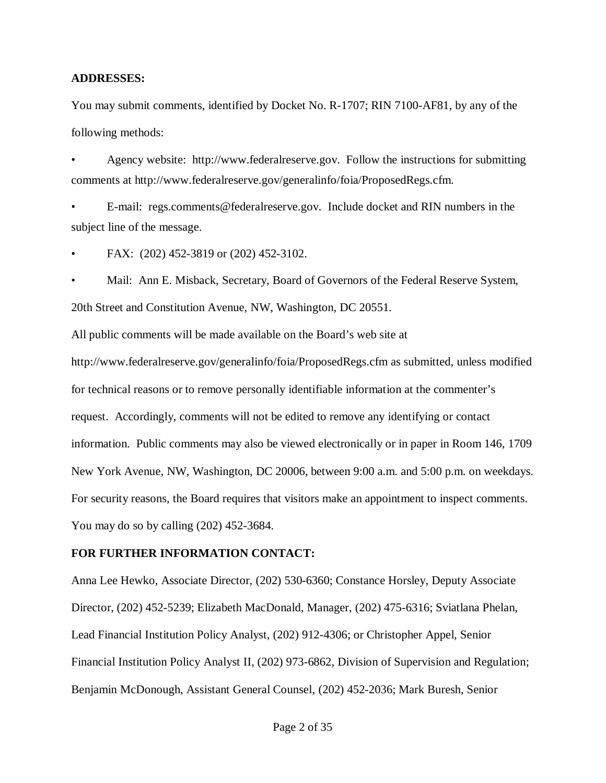#### **ADDRESSES:**

You may submit comments, identified by Docket No. R-1707; RIN 7100-AF81, by any of the following methods:

• Agency website: http://www.federalreserve.gov. Follow the instructions for submitting comments at http://www.federalreserve.gov/generalinfo/foia/ProposedRegs.cfm.

• E-mail: regs.comments@federalreserve.gov. Include docket and RIN numbers in the subject line of the message.

• FAX: (202) 452-3819 or (202) 452-3102.

• Mail: Ann E. Misback, Secretary, Board of Governors of the Federal Reserve System, 20th Street and Constitution Avenue, NW, Washington, DC 20551.

All public comments will be made available on the Board's web site at

http://www.federalreserve.gov/generalinfo/foia/ProposedRegs.cfm as submitted, unless modified for technical reasons or to remove personally identifiable information at the commenter's request. Accordingly, comments will not be edited to remove any identifying or contact information. Public comments may also be viewed electronically or in paper in Room 146, 1709 New York Avenue, NW, Washington, DC 20006, between 9:00 a.m. and 5:00 p.m. on weekdays. For security reasons, the Board requires that visitors make an appointment to inspect comments. You may do so by calling (202) 452-3684.

#### **FOR FURTHER INFORMATION CONTACT:**

Anna Lee Hewko, Associate Director, (202) 530-6360; Constance Horsley, Deputy Associate Director, (202) 452-5239; Elizabeth MacDonald, Manager, (202) 475-6316; Sviatlana Phelan, Lead Financial Institution Policy Analyst, (202) 912-4306; or Christopher Appel, Senior Financial Institution Policy Analyst II, (202) 973-6862, Division of Supervision and Regulation; Benjamin McDonough, Assistant General Counsel, (202) 452-2036; Mark Buresh, Senior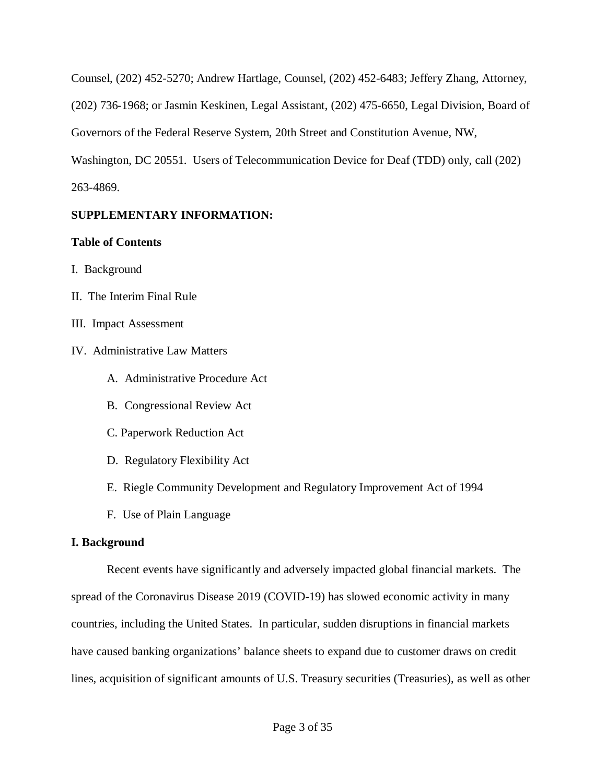Counsel, (202) 452-5270; Andrew Hartlage, Counsel, (202) 452-6483; Jeffery Zhang, Attorney, (202) 736-1968; or Jasmin Keskinen, Legal Assistant, (202) 475-6650, Legal Division, Board of Governors of the Federal Reserve System, 20th Street and Constitution Avenue, NW, Washington, DC 20551. Users of Telecommunication Device for Deaf (TDD) only, call (202) 263-4869.

## **SUPPLEMENTARY INFORMATION:**

## **Table of Contents**

- I. Background
- II. The Interim Final Rule
- III. Impact Assessment
- IV. Administrative Law Matters
	- A. Administrative Procedure Act
	- B. Congressional Review Act
	- C. Paperwork Reduction Act
	- D. Regulatory Flexibility Act
	- E. Riegle Community Development and Regulatory Improvement Act of 1994
	- F. Use of Plain Language

## **I. Background**

Recent events have significantly and adversely impacted global financial markets. The spread of the Coronavirus Disease 2019 (COVID-19) has slowed economic activity in many countries, including the United States. In particular, sudden disruptions in financial markets have caused banking organizations' balance sheets to expand due to customer draws on credit lines, acquisition of significant amounts of U.S. Treasury securities (Treasuries), as well as other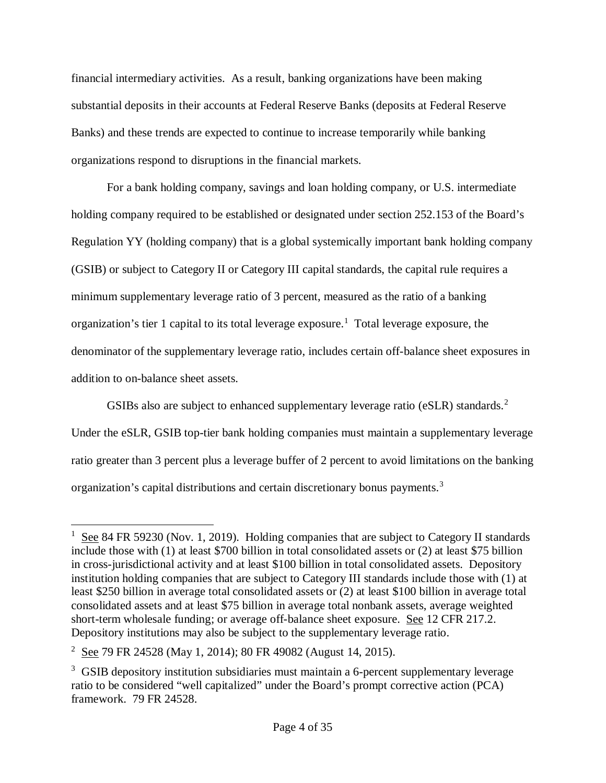financial intermediary activities. As a result, banking organizations have been making substantial deposits in their accounts at Federal Reserve Banks (deposits at Federal Reserve Banks) and these trends are expected to continue to increase temporarily while banking organizations respond to disruptions in the financial markets.

For a bank holding company, savings and loan holding company, or U.S. intermediate holding company required to be established or designated under section 252.153 of the Board's Regulation YY (holding company) that is a global systemically important bank holding company (GSIB) or subject to Category II or Category III capital standards, the capital rule requires a minimum supplementary leverage ratio of 3 percent, measured as the ratio of a banking organization's tier [1](#page-3-0) capital to its total leverage exposure.<sup>1</sup> Total leverage exposure, the denominator of the supplementary leverage ratio, includes certain off-balance sheet exposures in addition to on-balance sheet assets.

GSIBs also are subject to enhanced supplementary leverage ratio ( $eSLR$ ) standards.<sup>[2](#page-3-1)</sup> Under the eSLR, GSIB top-tier bank holding companies must maintain a supplementary leverage ratio greater than 3 percent plus a leverage buffer of 2 percent to avoid limitations on the banking organization's capital distributions and certain discretionary bonus payments.<sup>[3](#page-3-2)</sup>

<span id="page-3-0"></span> $\frac{1}{1}$ <sup>1</sup> See 84 FR 59230 (Nov. 1, 2019). Holding companies that are subject to Category II standards include those with (1) at least \$700 billion in total consolidated assets or (2) at least \$75 billion in cross-jurisdictional activity and at least \$100 billion in total consolidated assets. Depository institution holding companies that are subject to Category III standards include those with (1) at least \$250 billion in average total consolidated assets or (2) at least \$100 billion in average total consolidated assets and at least \$75 billion in average total nonbank assets, average weighted short-term wholesale funding; or average off-balance sheet exposure. See 12 CFR 217.2. Depository institutions may also be subject to the supplementary leverage ratio.

<span id="page-3-1"></span><sup>&</sup>lt;sup>2</sup> See 79 FR 24528 (May 1, 2014); 80 FR 49082 (August 14, 2015).

<span id="page-3-2"></span><sup>&</sup>lt;sup>3</sup> GSIB depository institution subsidiaries must maintain a 6-percent supplementary leverage ratio to be considered "well capitalized" under the Board's prompt corrective action (PCA) framework. 79 FR 24528.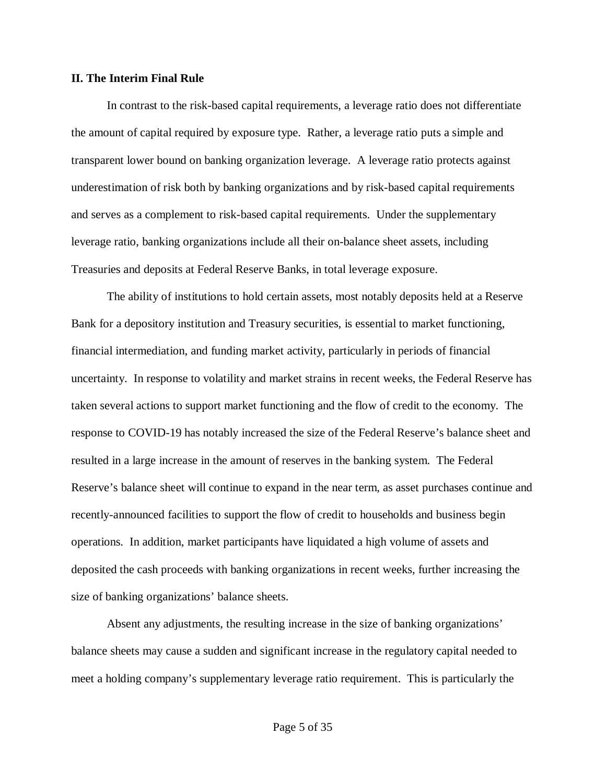#### **II. The Interim Final Rule**

In contrast to the risk-based capital requirements, a leverage ratio does not differentiate the amount of capital required by exposure type. Rather, a leverage ratio puts a simple and transparent lower bound on banking organization leverage. A leverage ratio protects against underestimation of risk both by banking organizations and by risk-based capital requirements and serves as a complement to risk-based capital requirements. Under the supplementary leverage ratio, banking organizations include all their on-balance sheet assets, including Treasuries and deposits at Federal Reserve Banks, in total leverage exposure.

The ability of institutions to hold certain assets, most notably deposits held at a Reserve Bank for a depository institution and Treasury securities, is essential to market functioning, financial intermediation, and funding market activity, particularly in periods of financial uncertainty. In response to volatility and market strains in recent weeks, the Federal Reserve has taken several actions to support market functioning and the flow of credit to the economy. The response to COVID-19 has notably increased the size of the Federal Reserve's balance sheet and resulted in a large increase in the amount of reserves in the banking system. The Federal Reserve's balance sheet will continue to expand in the near term, as asset purchases continue and recently-announced facilities to support the flow of credit to households and business begin operations. In addition, market participants have liquidated a high volume of assets and deposited the cash proceeds with banking organizations in recent weeks, further increasing the size of banking organizations' balance sheets.

Absent any adjustments, the resulting increase in the size of banking organizations' balance sheets may cause a sudden and significant increase in the regulatory capital needed to meet a holding company's supplementary leverage ratio requirement. This is particularly the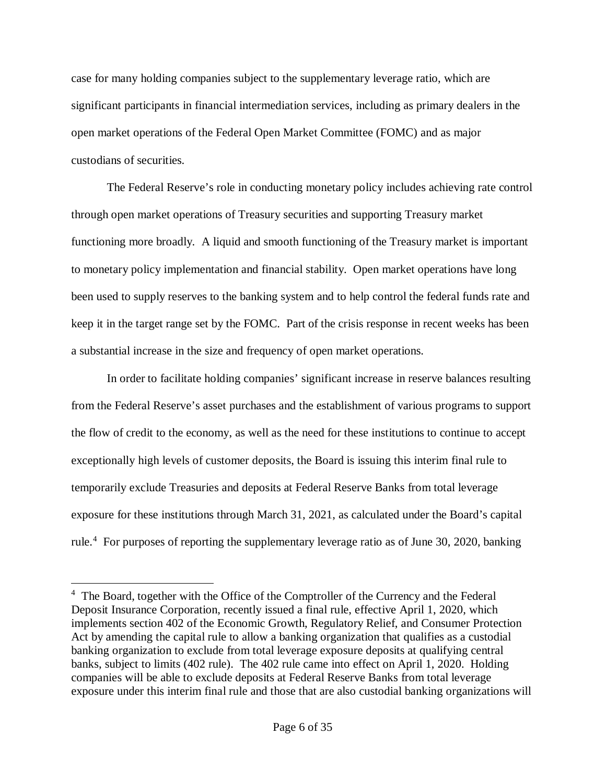case for many holding companies subject to the supplementary leverage ratio, which are significant participants in financial intermediation services, including as primary dealers in the open market operations of the Federal Open Market Committee (FOMC) and as major custodians of securities.

The Federal Reserve's role in conducting monetary policy includes achieving rate control through open market operations of Treasury securities and supporting Treasury market functioning more broadly. A liquid and smooth functioning of the Treasury market is important to monetary policy implementation and financial stability. Open market operations have long been used to supply reserves to the banking system and to help control the federal funds rate and keep it in the target range set by the FOMC. Part of the crisis response in recent weeks has been a substantial increase in the size and frequency of open market operations.

In order to facilitate holding companies' significant increase in reserve balances resulting from the Federal Reserve's asset purchases and the establishment of various programs to support the flow of credit to the economy, as well as the need for these institutions to continue to accept exceptionally high levels of customer deposits, the Board is issuing this interim final rule to temporarily exclude Treasuries and deposits at Federal Reserve Banks from total leverage exposure for these institutions through March 31, 2021, as calculated under the Board's capital rule.<sup>[4](#page-5-0)</sup> For purposes of reporting the supplementary leverage ratio as of June 30, 2020, banking

<span id="page-5-0"></span> $\frac{1}{4}$ <sup>4</sup> The Board, together with the Office of the Comptroller of the Currency and the Federal Deposit Insurance Corporation, recently issued a final rule, effective April 1, 2020, which implements section 402 of the Economic Growth, Regulatory Relief, and Consumer Protection Act by amending the capital rule to allow a banking organization that qualifies as a custodial banking organization to exclude from total leverage exposure deposits at qualifying central banks, subject to limits (402 rule). The 402 rule came into effect on April 1, 2020. Holding companies will be able to exclude deposits at Federal Reserve Banks from total leverage exposure under this interim final rule and those that are also custodial banking organizations will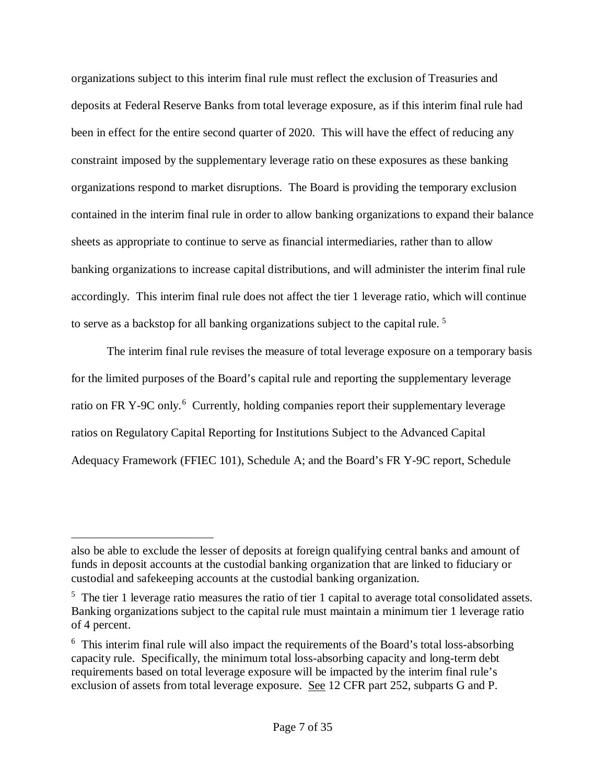organizations subject to this interim final rule must reflect the exclusion of Treasuries and deposits at Federal Reserve Banks from total leverage exposure, as if this interim final rule had been in effect for the entire second quarter of 2020. This will have the effect of reducing any constraint imposed by the supplementary leverage ratio on these exposures as these banking organizations respond to market disruptions. The Board is providing the temporary exclusion contained in the interim final rule in order to allow banking organizations to expand their balance sheets as appropriate to continue to serve as financial intermediaries, rather than to allow banking organizations to increase capital distributions, and will administer the interim final rule accordingly. This interim final rule does not affect the tier 1 leverage ratio, which will continue to serve as a backstop for all banking organizations subject to the capital rule. [5](#page-6-0)

The interim final rule revises the measure of total leverage exposure on a temporary basis for the limited purposes of the Board's capital rule and reporting the supplementary leverage ratio on FR Y-9C only.<sup>[6](#page-6-1)</sup> Currently, holding companies report their supplementary leverage ratios on Regulatory Capital Reporting for Institutions Subject to the Advanced Capital Adequacy Framework (FFIEC 101), Schedule A; and the Board's FR Y-9C report, Schedule

 $\overline{a}$ 

also be able to exclude the lesser of deposits at foreign qualifying central banks and amount of funds in deposit accounts at the custodial banking organization that are linked to fiduciary or custodial and safekeeping accounts at the custodial banking organization.

<span id="page-6-0"></span><sup>&</sup>lt;sup>5</sup> The tier 1 leverage ratio measures the ratio of tier 1 capital to average total consolidated assets. Banking organizations subject to the capital rule must maintain a minimum tier 1 leverage ratio of 4 percent.

<span id="page-6-1"></span><sup>&</sup>lt;sup>6</sup> This interim final rule will also impact the requirements of the Board's total loss-absorbing capacity rule. Specifically, the minimum total loss-absorbing capacity and long-term debt requirements based on total leverage exposure will be impacted by the interim final rule's exclusion of assets from total leverage exposure. See 12 CFR part 252, subparts G and P.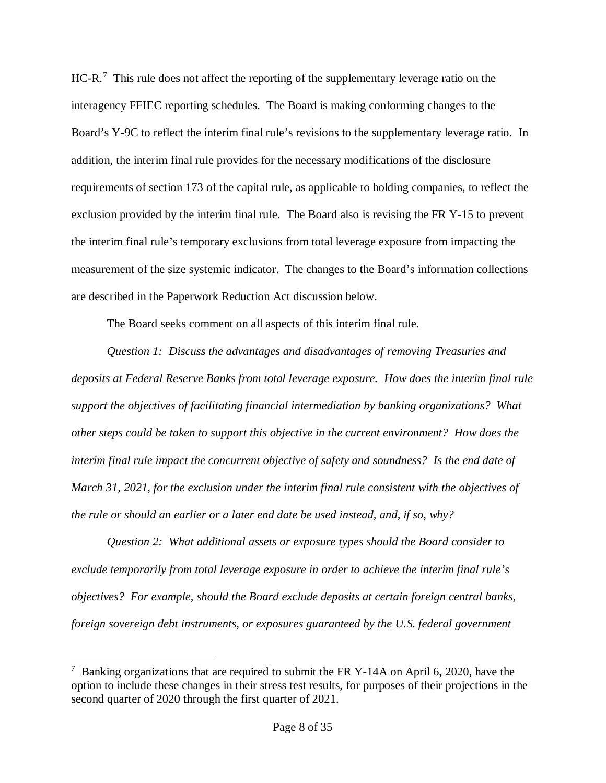$HC-R$ .<sup>[7](#page-7-0)</sup> This rule does not affect the reporting of the supplementary leverage ratio on the interagency FFIEC reporting schedules. The Board is making conforming changes to the Board's Y-9C to reflect the interim final rule's revisions to the supplementary leverage ratio. In addition, the interim final rule provides for the necessary modifications of the disclosure requirements of section 173 of the capital rule, as applicable to holding companies, to reflect the exclusion provided by the interim final rule. The Board also is revising the FR Y-15 to prevent the interim final rule's temporary exclusions from total leverage exposure from impacting the measurement of the size systemic indicator. The changes to the Board's information collections are described in the Paperwork Reduction Act discussion below.

The Board seeks comment on all aspects of this interim final rule.

*Question 1: Discuss the advantages and disadvantages of removing Treasuries and deposits at Federal Reserve Banks from total leverage exposure. How does the interim final rule support the objectives of facilitating financial intermediation by banking organizations? What other steps could be taken to support this objective in the current environment? How does the interim final rule impact the concurrent objective of safety and soundness? Is the end date of March 31, 2021, for the exclusion under the interim final rule consistent with the objectives of the rule or should an earlier or a later end date be used instead, and, if so, why?*

*Question 2: What additional assets or exposure types should the Board consider to exclude temporarily from total leverage exposure in order to achieve the interim final rule's objectives? For example, should the Board exclude deposits at certain foreign central banks, foreign sovereign debt instruments, or exposures guaranteed by the U.S. federal government*

<span id="page-7-0"></span> <sup>7</sup>  $\frac{7}{1}$  Banking organizations that are required to submit the FR Y-14A on April 6, 2020, have the option to include these changes in their stress test results, for purposes of their projections in the second quarter of 2020 through the first quarter of 2021.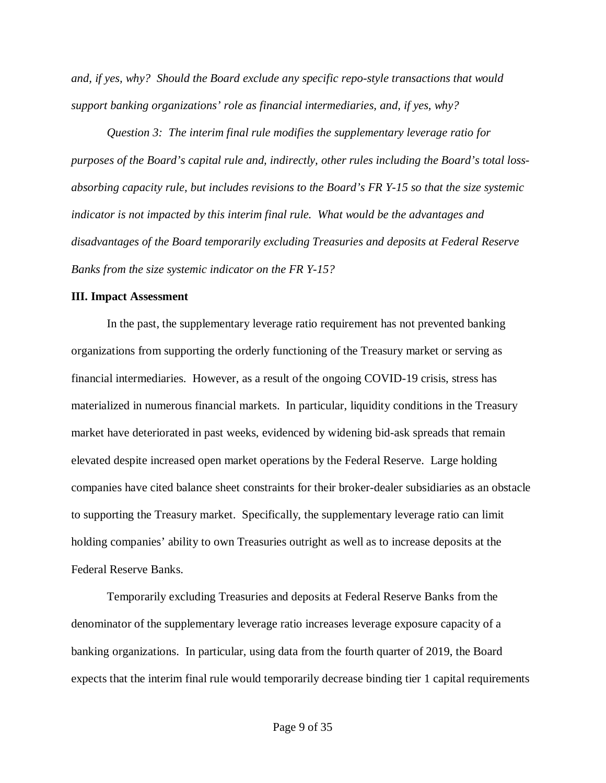*and, if yes, why? Should the Board exclude any specific repo-style transactions that would support banking organizations' role as financial intermediaries, and, if yes, why?* 

*Question 3: The interim final rule modifies the supplementary leverage ratio for purposes of the Board's capital rule and, indirectly, other rules including the Board's total lossabsorbing capacity rule, but includes revisions to the Board's FR Y-15 so that the size systemic indicator is not impacted by this interim final rule. What would be the advantages and disadvantages of the Board temporarily excluding Treasuries and deposits at Federal Reserve Banks from the size systemic indicator on the FR Y-15?*

#### **III. Impact Assessment**

In the past, the supplementary leverage ratio requirement has not prevented banking organizations from supporting the orderly functioning of the Treasury market or serving as financial intermediaries. However, as a result of the ongoing COVID-19 crisis, stress has materialized in numerous financial markets. In particular, liquidity conditions in the Treasury market have deteriorated in past weeks, evidenced by widening bid-ask spreads that remain elevated despite increased open market operations by the Federal Reserve. Large holding companies have cited balance sheet constraints for their broker-dealer subsidiaries as an obstacle to supporting the Treasury market. Specifically, the supplementary leverage ratio can limit holding companies' ability to own Treasuries outright as well as to increase deposits at the Federal Reserve Banks.

Temporarily excluding Treasuries and deposits at Federal Reserve Banks from the denominator of the supplementary leverage ratio increases leverage exposure capacity of a banking organizations. In particular, using data from the fourth quarter of 2019, the Board expects that the interim final rule would temporarily decrease binding tier 1 capital requirements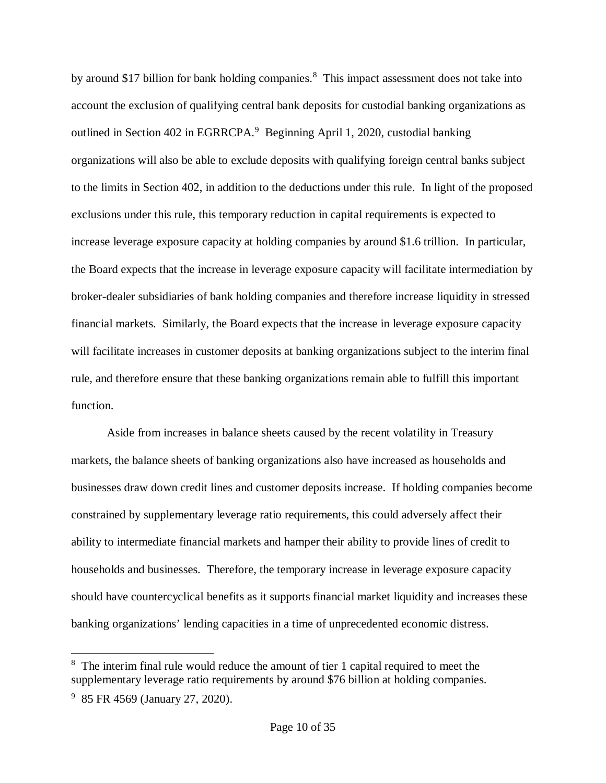by around \$17 billion for bank holding companies.<sup>[8](#page-9-0)</sup> This impact assessment does not take into account the exclusion of qualifying central bank deposits for custodial banking organizations as outlined in Section 402 in EGRRCPA.<sup>[9](#page-9-1)</sup> Beginning April 1, 2020, custodial banking organizations will also be able to exclude deposits with qualifying foreign central banks subject to the limits in Section 402, in addition to the deductions under this rule. In light of the proposed exclusions under this rule, this temporary reduction in capital requirements is expected to increase leverage exposure capacity at holding companies by around \$1.6 trillion. In particular, the Board expects that the increase in leverage exposure capacity will facilitate intermediation by broker-dealer subsidiaries of bank holding companies and therefore increase liquidity in stressed financial markets. Similarly, the Board expects that the increase in leverage exposure capacity will facilitate increases in customer deposits at banking organizations subject to the interim final rule, and therefore ensure that these banking organizations remain able to fulfill this important function.

Aside from increases in balance sheets caused by the recent volatility in Treasury markets, the balance sheets of banking organizations also have increased as households and businesses draw down credit lines and customer deposits increase. If holding companies become constrained by supplementary leverage ratio requirements, this could adversely affect their ability to intermediate financial markets and hamper their ability to provide lines of credit to households and businesses. Therefore, the temporary increase in leverage exposure capacity should have countercyclical benefits as it supports financial market liquidity and increases these banking organizations' lending capacities in a time of unprecedented economic distress.

<span id="page-9-0"></span> $\frac{1}{8}$  $8\text{ }$  The interim final rule would reduce the amount of tier 1 capital required to meet the supplementary leverage ratio requirements by around \$76 billion at holding companies.

<span id="page-9-1"></span><sup>&</sup>lt;sup>9</sup> 85 FR 4569 (January 27, 2020).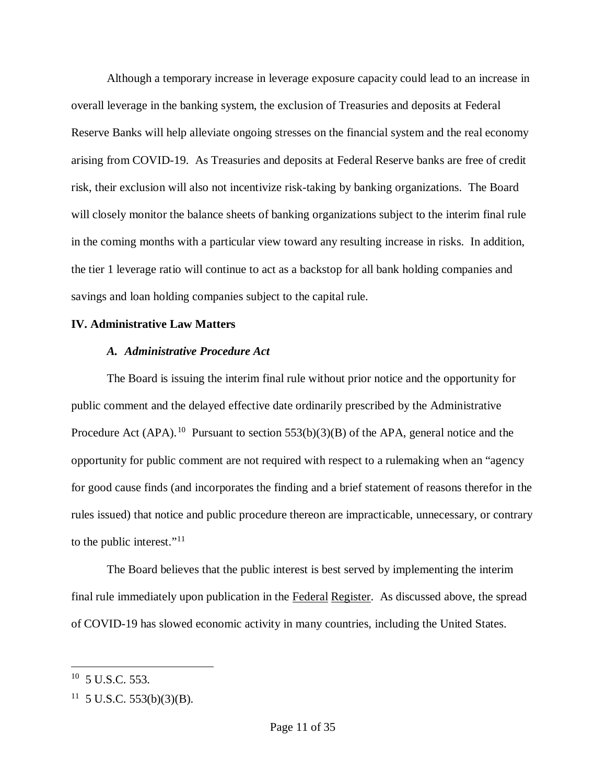Although a temporary increase in leverage exposure capacity could lead to an increase in overall leverage in the banking system, the exclusion of Treasuries and deposits at Federal Reserve Banks will help alleviate ongoing stresses on the financial system and the real economy arising from COVID-19. As Treasuries and deposits at Federal Reserve banks are free of credit risk, their exclusion will also not incentivize risk-taking by banking organizations. The Board will closely monitor the balance sheets of banking organizations subject to the interim final rule in the coming months with a particular view toward any resulting increase in risks. In addition, the tier 1 leverage ratio will continue to act as a backstop for all bank holding companies and savings and loan holding companies subject to the capital rule.

#### **IV. Administrative Law Matters**

#### *A. Administrative Procedure Act*

The Board is issuing the interim final rule without prior notice and the opportunity for public comment and the delayed effective date ordinarily prescribed by the Administrative Procedure Act (APA).<sup>10</sup> Pursuant to section 553(b)(3)(B) of the APA, general notice and the opportunity for public comment are not required with respect to a rulemaking when an "agency for good cause finds (and incorporates the finding and a brief statement of reasons therefor in the rules issued) that notice and public procedure thereon are impracticable, unnecessary, or contrary to the public interest."<sup>[11](#page-10-1)</sup>

The Board believes that the public interest is best served by implementing the interim final rule immediately upon publication in the Federal Register. As discussed above, the spread of COVID-19 has slowed economic activity in many countries, including the United States.

<span id="page-10-0"></span> $10$  5 U.S.C. 553.

<span id="page-10-1"></span> $11 \,$  5 U.S.C. 553(b)(3)(B).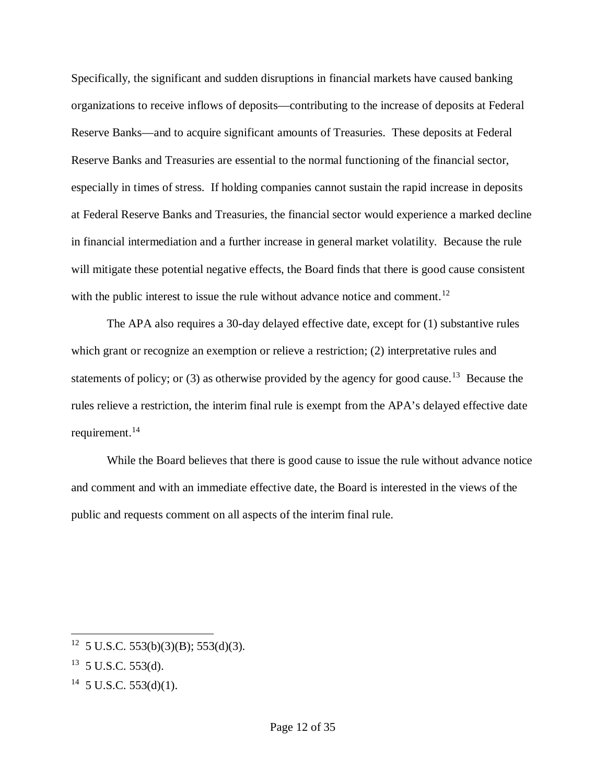Specifically, the significant and sudden disruptions in financial markets have caused banking organizations to receive inflows of deposits—contributing to the increase of deposits at Federal Reserve Banks—and to acquire significant amounts of Treasuries. These deposits at Federal Reserve Banks and Treasuries are essential to the normal functioning of the financial sector, especially in times of stress. If holding companies cannot sustain the rapid increase in deposits at Federal Reserve Banks and Treasuries, the financial sector would experience a marked decline in financial intermediation and a further increase in general market volatility. Because the rule will mitigate these potential negative effects, the Board finds that there is good cause consistent with the public interest to issue the rule without advance notice and comment.<sup>[12](#page-11-0)</sup>

The APA also requires a 30-day delayed effective date, except for (1) substantive rules which grant or recognize an exemption or relieve a restriction; (2) interpretative rules and statements of policy; or  $(3)$  as otherwise provided by the agency for good cause.<sup>[13](#page-11-1)</sup> Because the rules relieve a restriction, the interim final rule is exempt from the APA's delayed effective date requirement.<sup>14</sup>

While the Board believes that there is good cause to issue the rule without advance notice and comment and with an immediate effective date, the Board is interested in the views of the public and requests comment on all aspects of the interim final rule.

<span id="page-11-0"></span><sup>&</sup>lt;sup>12</sup> 5 U.S.C. 553(b)(3)(B); 553(d)(3).

<span id="page-11-1"></span> $13$  5 U.S.C. 553(d).

<span id="page-11-2"></span> $14$  5 U.S.C. 553(d)(1).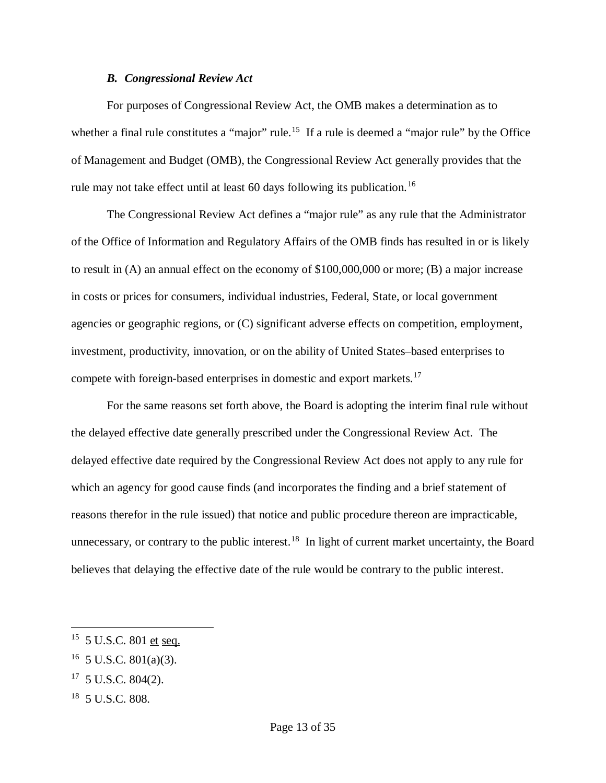#### *B. Congressional Review Act*

For purposes of Congressional Review Act, the OMB makes a determination as to whether a final rule constitutes a "major" rule.<sup>[15](#page-12-0)</sup> If a rule is deemed a "major rule" by the Office of Management and Budget (OMB), the Congressional Review Act generally provides that the rule may not take effect until at least 60 days following its publication.<sup>[16](#page-12-1)</sup>

The Congressional Review Act defines a "major rule" as any rule that the Administrator of the Office of Information and Regulatory Affairs of the OMB finds has resulted in or is likely to result in (A) an annual effect on the economy of \$100,000,000 or more; (B) a major increase in costs or prices for consumers, individual industries, Federal, State, or local government agencies or geographic regions, or (C) significant adverse effects on competition, employment, investment, productivity, innovation, or on the ability of United States–based enterprises to compete with foreign-based enterprises in domestic and export markets.[17](#page-12-2)

For the same reasons set forth above, the Board is adopting the interim final rule without the delayed effective date generally prescribed under the Congressional Review Act. The delayed effective date required by the Congressional Review Act does not apply to any rule for which an agency for good cause finds (and incorporates the finding and a brief statement of reasons therefor in the rule issued) that notice and public procedure thereon are impracticable, unnecessary, or contrary to the public interest.<sup>18</sup> In light of current market uncertainty, the Board believes that delaying the effective date of the rule would be contrary to the public interest.

- <span id="page-12-2"></span> $17$  5 U.S.C. 804(2).
- <span id="page-12-3"></span>18 5 U.S.C. 808.

<span id="page-12-0"></span> $15$  5 U.S.C. 801 et seq.

<span id="page-12-1"></span> $16$  5 U.S.C. 801(a)(3).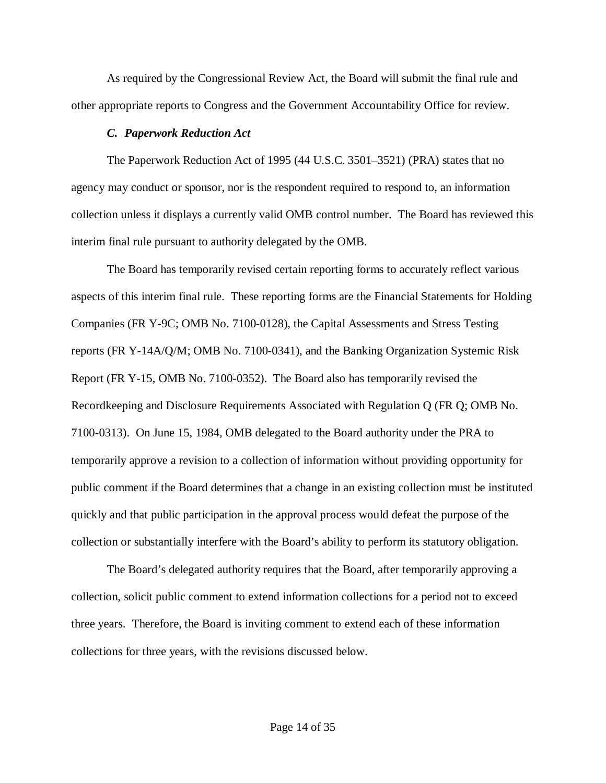As required by the Congressional Review Act, the Board will submit the final rule and other appropriate reports to Congress and the Government Accountability Office for review.

#### *C. Paperwork Reduction Act*

The Paperwork Reduction Act of 1995 (44 U.S.C. 3501–3521) (PRA) states that no agency may conduct or sponsor, nor is the respondent required to respond to, an information collection unless it displays a currently valid OMB control number. The Board has reviewed this interim final rule pursuant to authority delegated by the OMB.

The Board has temporarily revised certain reporting forms to accurately reflect various aspects of this interim final rule. These reporting forms are the Financial Statements for Holding Companies (FR Y-9C; OMB No. 7100-0128), the Capital Assessments and Stress Testing reports (FR Y-14A/Q/M; OMB No. 7100-0341), and the Banking Organization Systemic Risk Report (FR Y-15, OMB No. 7100-0352). The Board also has temporarily revised the Recordkeeping and Disclosure Requirements Associated with Regulation Q (FR Q; OMB No. 7100-0313). On June 15, 1984, OMB delegated to the Board authority under the PRA to temporarily approve a revision to a collection of information without providing opportunity for public comment if the Board determines that a change in an existing collection must be instituted quickly and that public participation in the approval process would defeat the purpose of the collection or substantially interfere with the Board's ability to perform its statutory obligation.

The Board's delegated authority requires that the Board, after temporarily approving a collection, solicit public comment to extend information collections for a period not to exceed three years. Therefore, the Board is inviting comment to extend each of these information collections for three years, with the revisions discussed below.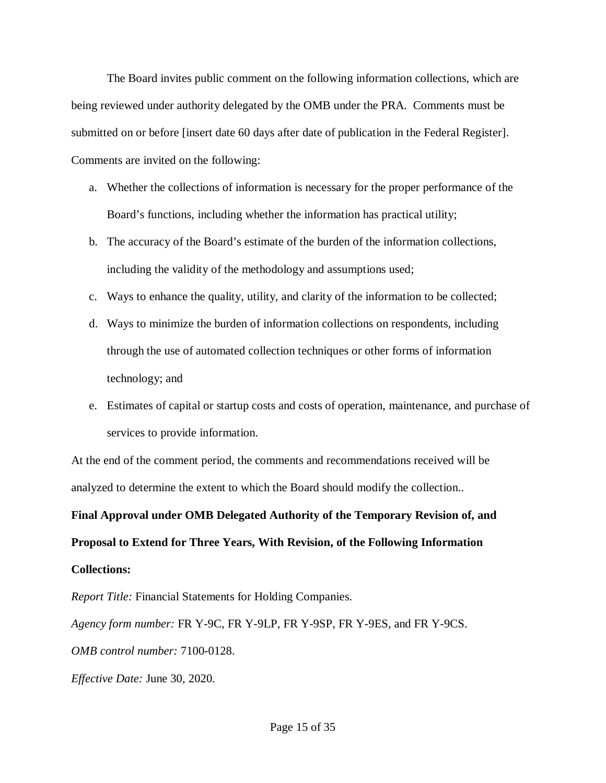The Board invites public comment on the following information collections, which are being reviewed under authority delegated by the OMB under the PRA. Comments must be submitted on or before [insert date 60 days after date of publication in the Federal Register]. Comments are invited on the following:

- a. Whether the collections of information is necessary for the proper performance of the Board's functions, including whether the information has practical utility;
- b. The accuracy of the Board's estimate of the burden of the information collections, including the validity of the methodology and assumptions used;
- c. Ways to enhance the quality, utility, and clarity of the information to be collected;
- d. Ways to minimize the burden of information collections on respondents, including through the use of automated collection techniques or other forms of information technology; and
- e. Estimates of capital or startup costs and costs of operation, maintenance, and purchase of services to provide information.

At the end of the comment period, the comments and recommendations received will be analyzed to determine the extent to which the Board should modify the collection..

**Final Approval under OMB Delegated Authority of the Temporary Revision of, and Proposal to Extend for Three Years, With Revision, of the Following Information Collections:**

*Report Title:* Financial Statements for Holding Companies.

*Agency form number:* FR Y-9C, FR Y-9LP, FR Y-9SP, FR Y-9ES, and FR Y-9CS.

*OMB control number:* 7100-0128.

*Effective Date:* June 30, 2020.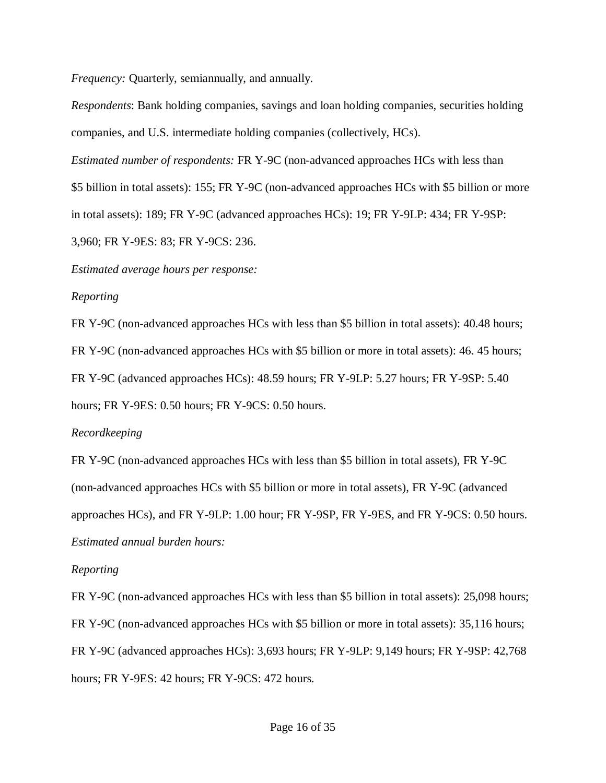*Frequency:* Quarterly, semiannually, and annually.

*Respondents*: Bank holding companies, savings and loan holding companies, securities holding companies, and U.S. intermediate holding companies (collectively, HCs).

*Estimated number of respondents:* FR Y-9C (non-advanced approaches HCs with less than

\$5 billion in total assets): 155; FR Y-9C (non-advanced approaches HCs with \$5 billion or more

in total assets): 189; FR Y-9C (advanced approaches HCs): 19; FR Y-9LP: 434; FR Y-9SP:

3,960; FR Y-9ES: 83; FR Y-9CS: 236.

*Estimated average hours per response:*

*Reporting*

FR Y-9C (non-advanced approaches HCs with less than \$5 billion in total assets): 40.48 hours; FR Y-9C (non-advanced approaches HCs with \$5 billion or more in total assets): 46. 45 hours; FR Y-9C (advanced approaches HCs): 48.59 hours; FR Y-9LP: 5.27 hours; FR Y-9SP: 5.40 hours; FR Y-9ES: 0.50 hours; FR Y-9CS: 0.50 hours.

## *Recordkeeping*

FR Y-9C (non-advanced approaches HCs with less than \$5 billion in total assets), FR Y-9C (non-advanced approaches HCs with \$5 billion or more in total assets), FR Y-9C (advanced approaches HCs), and FR Y-9LP: 1.00 hour; FR Y-9SP, FR Y-9ES, and FR Y-9CS: 0.50 hours. *Estimated annual burden hours:*

## *Reporting*

FR Y-9C (non-advanced approaches HCs with less than \$5 billion in total assets): 25,098 hours; FR Y-9C (non-advanced approaches HCs with \$5 billion or more in total assets): 35,116 hours; FR Y-9C (advanced approaches HCs): 3,693 hours; FR Y-9LP: 9,149 hours; FR Y-9SP: 42,768 hours; FR Y-9ES: 42 hours; FR Y-9CS: 472 hours.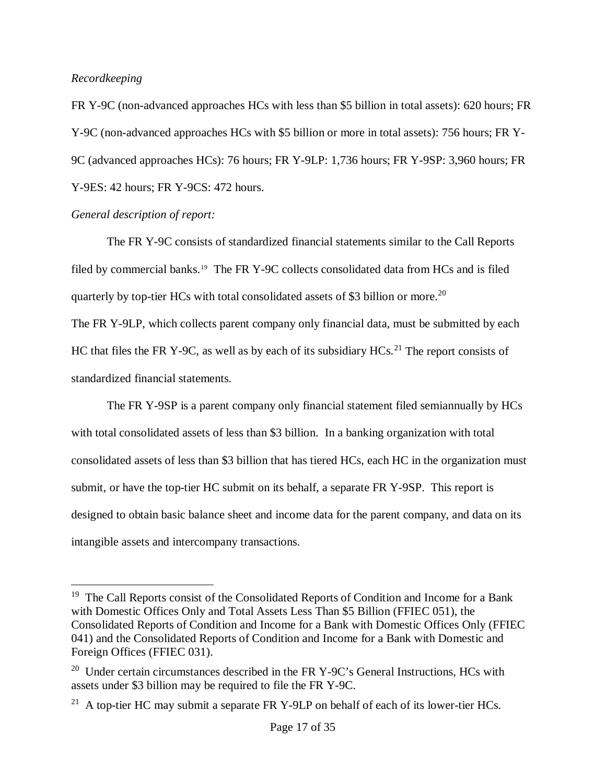## *Recordkeeping*

FR Y-9C (non-advanced approaches HCs with less than \$5 billion in total assets): 620 hours; FR Y-9C (non-advanced approaches HCs with \$5 billion or more in total assets): 756 hours; FR Y-9C (advanced approaches HCs): 76 hours; FR Y-9LP: 1,736 hours; FR Y-9SP: 3,960 hours; FR Y-9ES: 42 hours; FR Y-9CS: 472 hours.

## *General description of report:*

The FR Y-9C consists of standardized financial statements similar to the Call Reports filed by commercial banks.<sup>[19](#page-16-0)</sup> The FR Y-9C collects consolidated data from HCs and is filed quarterly by top-tier HCs with total consolidated assets of \$3 billion or more.<sup>[20](#page-16-1)</sup>

The FR Y-9LP, which collects parent company only financial data, must be submitted by each HC that files the FR Y-9C, as well as by each of its subsidiary  $HCs<sup>21</sup>$  $HCs<sup>21</sup>$  $HCs<sup>21</sup>$  The report consists of standardized financial statements.

The FR Y-9SP is a parent company only financial statement filed semiannually by HCs with total consolidated assets of less than \$3 billion. In a banking organization with total consolidated assets of less than \$3 billion that has tiered HCs, each HC in the organization must submit, or have the top-tier HC submit on its behalf, a separate FR Y-9SP. This report is designed to obtain basic balance sheet and income data for the parent company, and data on its intangible assets and intercompany transactions.

<span id="page-16-0"></span><sup>&</sup>lt;sup>19</sup> The Call Reports consist of the Consolidated Reports of Condition and Income for a Bank with Domestic Offices Only and Total Assets Less Than \$5 Billion (FFIEC 051), the Consolidated Reports of Condition and Income for a Bank with Domestic Offices Only (FFIEC 041) and the Consolidated Reports of Condition and Income for a Bank with Domestic and Foreign Offices (FFIEC 031).

<span id="page-16-1"></span><sup>&</sup>lt;sup>20</sup> Under certain circumstances described in the FR Y-9C's General Instructions, HCs with assets under \$3 billion may be required to file the FR Y-9C.

<span id="page-16-2"></span><sup>&</sup>lt;sup>21</sup> A top-tier HC may submit a separate FR Y-9LP on behalf of each of its lower-tier HCs.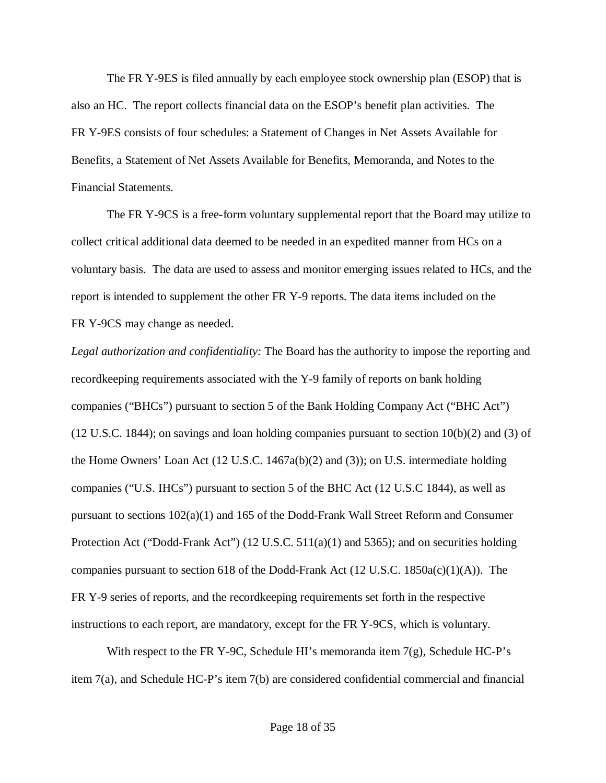The FR Y-9ES is filed annually by each employee stock ownership plan (ESOP) that is also an HC. The report collects financial data on the ESOP's benefit plan activities. The FR Y-9ES consists of four schedules: a Statement of Changes in Net Assets Available for Benefits, a Statement of Net Assets Available for Benefits, Memoranda, and Notes to the Financial Statements.

The FR Y-9CS is a free-form voluntary supplemental report that the Board may utilize to collect critical additional data deemed to be needed in an expedited manner from HCs on a voluntary basis. The data are used to assess and monitor emerging issues related to HCs, and the report is intended to supplement the other FR Y-9 reports. The data items included on the FR Y-9CS may change as needed.

*Legal authorization and confidentiality:* The Board has the authority to impose the reporting and recordkeeping requirements associated with the Y-9 family of reports on bank holding companies ("BHCs") pursuant to section 5 of the Bank Holding Company Act ("BHC Act")  $(12 \text{ U.S.C. } 1844)$ ; on savings and loan holding companies pursuant to section  $10(b)(2)$  and  $(3)$  of the Home Owners' Loan Act (12 U.S.C. 1467a(b)(2) and (3)); on U.S. intermediate holding companies ("U.S. IHCs") pursuant to section 5 of the BHC Act (12 U.S.C 1844), as well as pursuant to sections 102(a)(1) and 165 of the Dodd-Frank Wall Street Reform and Consumer Protection Act ("Dodd-Frank Act") (12 U.S.C. 511(a)(1) and 5365); and on securities holding companies pursuant to section 618 of the Dodd-Frank Act (12 U.S.C. 1850a(c)(1)(A)). The FR Y-9 series of reports, and the recordkeeping requirements set forth in the respective instructions to each report, are mandatory, except for the FR Y-9CS, which is voluntary.

With respect to the FR Y-9C, Schedule HI's memoranda item  $7(g)$ , Schedule HC-P's item 7(a), and Schedule HC-P's item 7(b) are considered confidential commercial and financial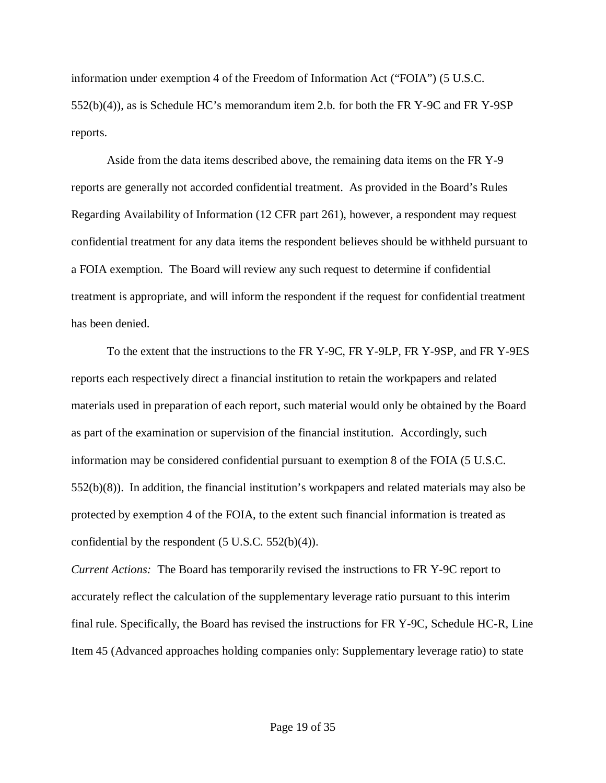information under exemption 4 of the Freedom of Information Act ("FOIA") (5 U.S.C. 552(b)(4)), as is Schedule HC's memorandum item 2.b. for both the FR Y-9C and FR Y-9SP reports.

Aside from the data items described above, the remaining data items on the FR Y-9 reports are generally not accorded confidential treatment. As provided in the Board's Rules Regarding Availability of Information (12 CFR part 261), however, a respondent may request confidential treatment for any data items the respondent believes should be withheld pursuant to a FOIA exemption. The Board will review any such request to determine if confidential treatment is appropriate, and will inform the respondent if the request for confidential treatment has been denied.

To the extent that the instructions to the FR Y-9C, FR Y-9LP, FR Y-9SP, and FR Y-9ES reports each respectively direct a financial institution to retain the workpapers and related materials used in preparation of each report, such material would only be obtained by the Board as part of the examination or supervision of the financial institution. Accordingly, such information may be considered confidential pursuant to exemption 8 of the FOIA (5 U.S.C. 552(b)(8)). In addition, the financial institution's workpapers and related materials may also be protected by exemption 4 of the FOIA, to the extent such financial information is treated as confidential by the respondent  $(5 \text{ U.S.C. } 552(b)(4))$ .

*Current Actions:* The Board has temporarily revised the instructions to FR Y-9C report to accurately reflect the calculation of the supplementary leverage ratio pursuant to this interim final rule. Specifically, the Board has revised the instructions for FR Y-9C, Schedule HC-R, Line Item 45 (Advanced approaches holding companies only: Supplementary leverage ratio) to state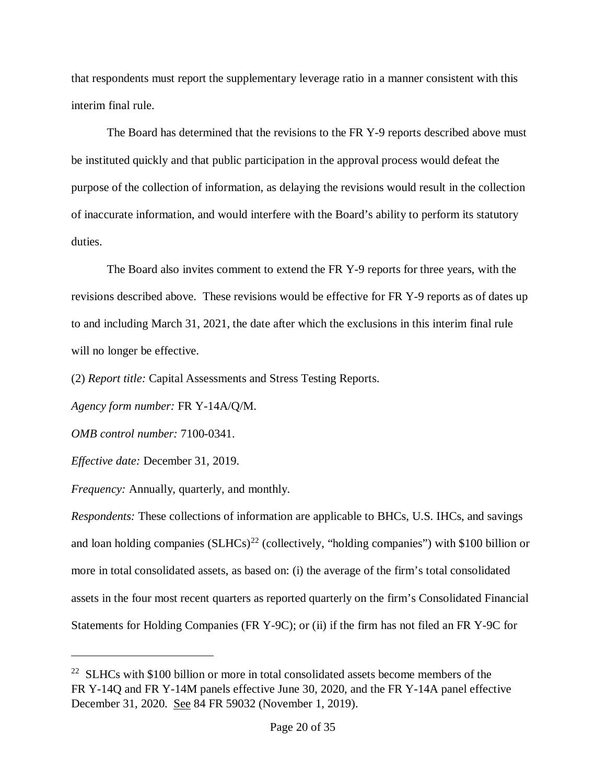that respondents must report the supplementary leverage ratio in a manner consistent with this interim final rule.

The Board has determined that the revisions to the FR Y-9 reports described above must be instituted quickly and that public participation in the approval process would defeat the purpose of the collection of information, as delaying the revisions would result in the collection of inaccurate information, and would interfere with the Board's ability to perform its statutory duties.

The Board also invites comment to extend the FR Y-9 reports for three years, with the revisions described above. These revisions would be effective for FR Y-9 reports as of dates up to and including March 31, 2021, the date after which the exclusions in this interim final rule will no longer be effective.

(2) *Report title:* Capital Assessments and Stress Testing Reports.

*Agency form number:* FR Y-14A/Q/M.

*OMB control number:* 7100-0341.

*Effective date:* December 31, 2019.

 $\overline{a}$ 

*Frequency:* Annually, quarterly, and monthly.

*Respondents:* These collections of information are applicable to BHCs, U.S. IHCs, and savings and loan holding companies  $(SLHCs)^{22}$  $(SLHCs)^{22}$  $(SLHCs)^{22}$  (collectively, "holding companies") with \$100 billion or more in total consolidated assets, as based on: (i) the average of the firm's total consolidated assets in the four most recent quarters as reported quarterly on the firm's Consolidated Financial Statements for Holding Companies (FR Y-9C); or (ii) if the firm has not filed an FR Y-9C for

<span id="page-19-0"></span> $22$  SLHCs with \$100 billion or more in total consolidated assets become members of the FR Y-14Q and FR Y-14M panels effective June 30, 2020, and the FR Y-14A panel effective December 31, 2020. See 84 FR 59032 (November 1, 2019).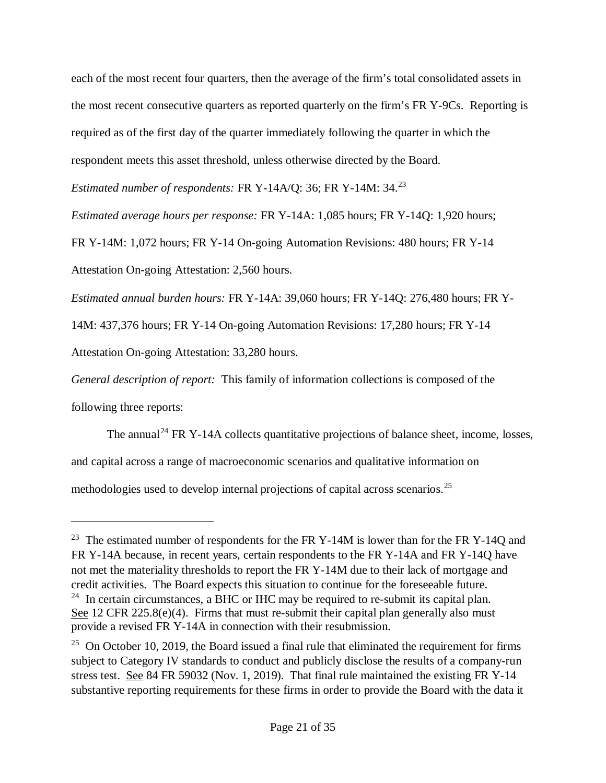each of the most recent four quarters, then the average of the firm's total consolidated assets in the most recent consecutive quarters as reported quarterly on the firm's FR Y-9Cs. Reporting is required as of the first day of the quarter immediately following the quarter in which the respondent meets this asset threshold, unless otherwise directed by the Board.

*Estimated number of respondents:* FR Y-14A/Q: 36; FR Y-14M: 34.[23](#page-20-0)

*Estimated average hours per response:* FR Y-14A: 1,085 hours; FR Y-14Q: 1,920 hours;

FR Y-14M: 1,072 hours; FR Y-14 On-going Automation Revisions: 480 hours; FR Y-14

Attestation On-going Attestation: 2,560 hours.

*Estimated annual burden hours:* FR Y-14A: 39,060 hours; FR Y-14Q: 276,480 hours; FR Y-

14M: 437,376 hours; FR Y-14 On-going Automation Revisions: 17,280 hours; FR Y-14

Attestation On-going Attestation: 33,280 hours.

 $\overline{a}$ 

*General description of report:* This family of information collections is composed of the following three reports:

The annual<sup>[24](#page-21-0)</sup> FR Y-14A collects quantitative projections of balance sheet, income, losses, and capital across a range of macroeconomic scenarios and qualitative information on methodologies used to develop internal projections of capital across scenarios.[25](#page-21-1)

<sup>&</sup>lt;sup>23</sup> The estimated number of respondents for the FR Y-14M is lower than for the FR Y-14Q and FR Y-14A because, in recent years, certain respondents to the FR Y-14A and FR Y-14Q have not met the materiality thresholds to report the FR Y-14M due to their lack of mortgage and credit activities. The Board expects this situation to continue for the foreseeable future.  $24$  In certain circumstances, a BHC or IHC may be required to re-submit its capital plan. See 12 CFR 225.8(e)(4). Firms that must re-submit their capital plan generally also must provide a revised FR Y-14A in connection with their resubmission.

<span id="page-20-0"></span> $25$  On October 10, 2019, the Board issued a final rule that eliminated the requirement for firms subject to Category IV standards to conduct and publicly disclose the results of a company-run stress test. See 84 FR 59032 (Nov. 1, 2019). That final rule maintained the existing FR Y-14 substantive reporting requirements for these firms in order to provide the Board with the data it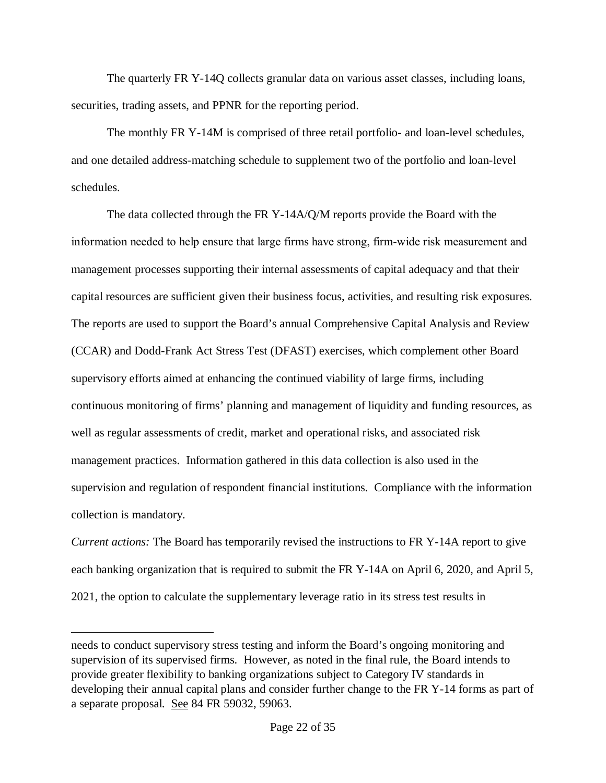The quarterly FR Y-14Q collects granular data on various asset classes, including loans, securities, trading assets, and PPNR for the reporting period.

The monthly FR Y-14M is comprised of three retail portfolio- and loan-level schedules, and one detailed address-matching schedule to supplement two of the portfolio and loan-level schedules.

The data collected through the FR Y-14A/Q/M reports provide the Board with the information needed to help ensure that large firms have strong, firm‐wide risk measurement and management processes supporting their internal assessments of capital adequacy and that their capital resources are sufficient given their business focus, activities, and resulting risk exposures. The reports are used to support the Board's annual Comprehensive Capital Analysis and Review (CCAR) and Dodd-Frank Act Stress Test (DFAST) exercises, which complement other Board supervisory efforts aimed at enhancing the continued viability of large firms, including continuous monitoring of firms' planning and management of liquidity and funding resources, as well as regular assessments of credit, market and operational risks, and associated risk management practices. Information gathered in this data collection is also used in the supervision and regulation of respondent financial institutions. Compliance with the information collection is mandatory.

<span id="page-21-1"></span><span id="page-21-0"></span>*Current actions:* The Board has temporarily revised the instructions to FR Y-14A report to give each banking organization that is required to submit the FR Y-14A on April 6, 2020, and April 5, 2021, the option to calculate the supplementary leverage ratio in its stress test results in

 $\overline{a}$ 

needs to conduct supervisory stress testing and inform the Board's ongoing monitoring and supervision of its supervised firms. However, as noted in the final rule, the Board intends to provide greater flexibility to banking organizations subject to Category IV standards in developing their annual capital plans and consider further change to the FR Y-14 forms as part of a separate proposal. See 84 FR 59032, 59063.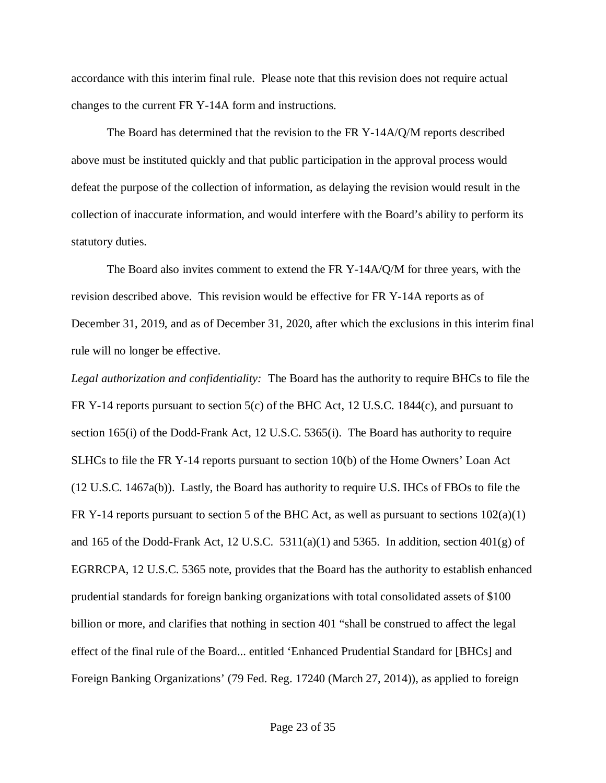accordance with this interim final rule. Please note that this revision does not require actual changes to the current FR Y-14A form and instructions.

The Board has determined that the revision to the FR Y-14A/Q/M reports described above must be instituted quickly and that public participation in the approval process would defeat the purpose of the collection of information, as delaying the revision would result in the collection of inaccurate information, and would interfere with the Board's ability to perform its statutory duties.

The Board also invites comment to extend the FR Y-14A/Q/M for three years, with the revision described above. This revision would be effective for FR Y-14A reports as of December 31, 2019, and as of December 31, 2020, after which the exclusions in this interim final rule will no longer be effective.

*Legal authorization and confidentiality:* The Board has the authority to require BHCs to file the FR Y-14 reports pursuant to section 5(c) of the BHC Act, 12 U.S.C. 1844(c), and pursuant to section 165(i) of the Dodd-Frank Act, 12 U.S.C. 5365(i). The Board has authority to require SLHCs to file the FR Y-14 reports pursuant to section 10(b) of the Home Owners' Loan Act (12 U.S.C. 1467a(b)). Lastly, the Board has authority to require U.S. IHCs of FBOs to file the FR Y-14 reports pursuant to section 5 of the BHC Act, as well as pursuant to sections  $102(a)(1)$ and 165 of the Dodd-Frank Act, 12 U.S.C. 5311(a)(1) and 5365. In addition, section  $401(g)$  of EGRRCPA, 12 U.S.C. 5365 note, provides that the Board has the authority to establish enhanced prudential standards for foreign banking organizations with total consolidated assets of \$100 billion or more, and clarifies that nothing in section 401 "shall be construed to affect the legal effect of the final rule of the Board... entitled 'Enhanced Prudential Standard for [BHCs] and Foreign Banking Organizations' (79 Fed. Reg. 17240 (March 27, 2014)), as applied to foreign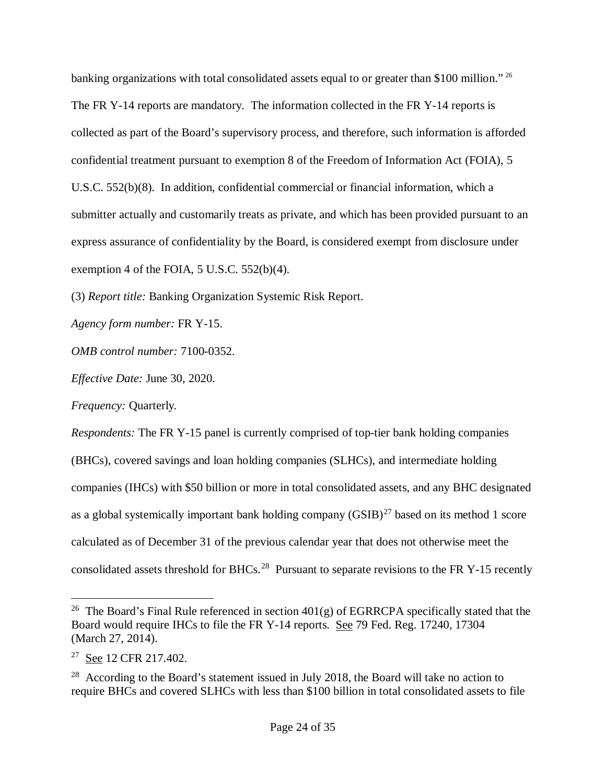banking organizations with total consolidated assets equal to or greater than \$100 million." <sup>[26](#page-23-0)</sup> The FR Y-14 reports are mandatory. The information collected in the FR Y-14 reports is collected as part of the Board's supervisory process, and therefore, such information is afforded confidential treatment pursuant to exemption 8 of the Freedom of Information Act (FOIA), 5 U.S.C. 552(b)(8). In addition, confidential commercial or financial information, which a submitter actually and customarily treats as private, and which has been provided pursuant to an express assurance of confidentiality by the Board, is considered exempt from disclosure under exemption 4 of the FOIA, 5 U.S.C. 552(b)(4).

(3) *Report title:* Banking Organization Systemic Risk Report.

*Agency form number:* FR Y-15.

*OMB control number:* 7100-0352.

*Effective Date:* June 30, 2020.

*Frequency:* Quarterly*.*

*Respondents:* The FR Y-15 panel is currently comprised of top-tier bank holding companies (BHCs), covered savings and loan holding companies (SLHCs), and intermediate holding companies (IHCs) with \$50 billion or more in total consolidated assets, and any BHC designated as a global systemically important bank holding company  $(GSIB)^{27}$  $(GSIB)^{27}$  $(GSIB)^{27}$  based on its method 1 score calculated as of December 31 of the previous calendar year that does not otherwise meet the consolidated assets threshold for BHCs.<sup>[28](#page-24-1)</sup> Pursuant to separate revisions to the FR Y-15 recently

<sup>&</sup>lt;sup>26</sup> The Board's Final Rule referenced in section  $401(g)$  of EGRRCPA specifically stated that the Board would require IHCs to file the FR Y-14 reports. See 79 Fed. Reg. 17240, 17304 (March 27, 2014).

<sup>&</sup>lt;sup>27</sup> See 12 CFR 217.402.

<span id="page-23-0"></span> $28$  According to the Board's statement issued in July 2018, the Board will take no action to require BHCs and covered SLHCs with less than \$100 billion in total consolidated assets to file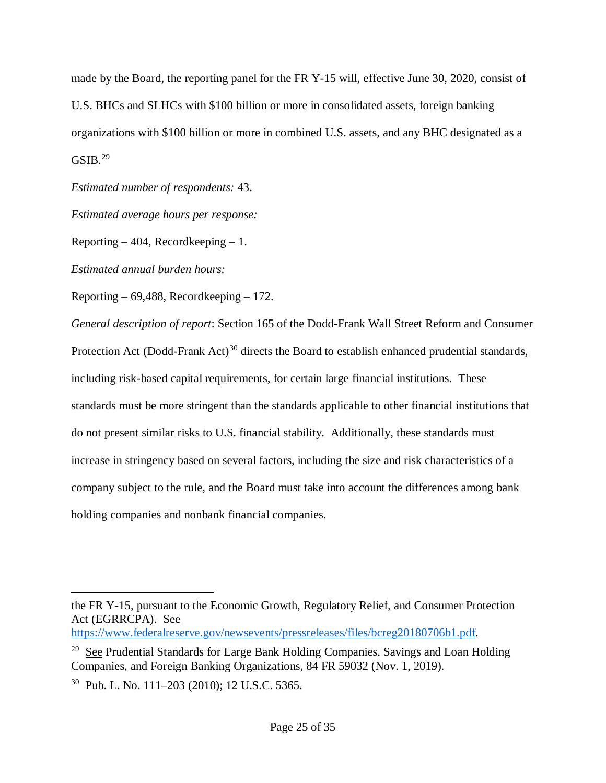made by the Board, the reporting panel for the FR Y-15 will, effective June 30, 2020, consist of U.S. BHCs and SLHCs with \$100 billion or more in consolidated assets, foreign banking organizations with \$100 billion or more in combined U.S. assets, and any BHC designated as a  $GSIB.<sup>29</sup>$  $GSIB.<sup>29</sup>$  $GSIB.<sup>29</sup>$ 

*Estimated number of respondents:* 43.

*Estimated average hours per response:* 

Reporting  $-404$ , Recordkeeping  $-1$ .

*Estimated annual burden hours:*

Reporting – 69,488, Recordkeeping – 172.

*General description of report*: Section 165 of the Dodd-Frank Wall Street Reform and Consumer Protection Act (Dodd-Frank Act)<sup>[30](#page-24-3)</sup> directs the Board to establish enhanced prudential standards, including risk-based capital requirements, for certain large financial institutions. These standards must be more stringent than the standards applicable to other financial institutions that do not present similar risks to U.S. financial stability. Additionally, these standards must increase in stringency based on several factors, including the size and risk characteristics of a company subject to the rule, and the Board must take into account the differences among bank holding companies and nonbank financial companies.

<span id="page-24-1"></span><span id="page-24-0"></span> $\overline{a}$ the FR Y-15, pursuant to the Economic Growth, Regulatory Relief, and Consumer Protection Act (EGRRCPA). See

[https://www.federalreserve.gov/newsevents/pressreleases/files/bcreg20180706b1.pdf.](https://www.federalreserve.gov/newsevents/pressreleases/files/bcreg20180706b1.pdf)

<span id="page-24-2"></span><sup>&</sup>lt;sup>29</sup> See Prudential Standards for Large Bank Holding Companies, Savings and Loan Holding Companies, and Foreign Banking Organizations, 84 FR 59032 (Nov. 1, 2019).

<span id="page-24-3"></span><sup>30</sup> Pub. L. No. 111–203 (2010); 12 U.S.C. 5365.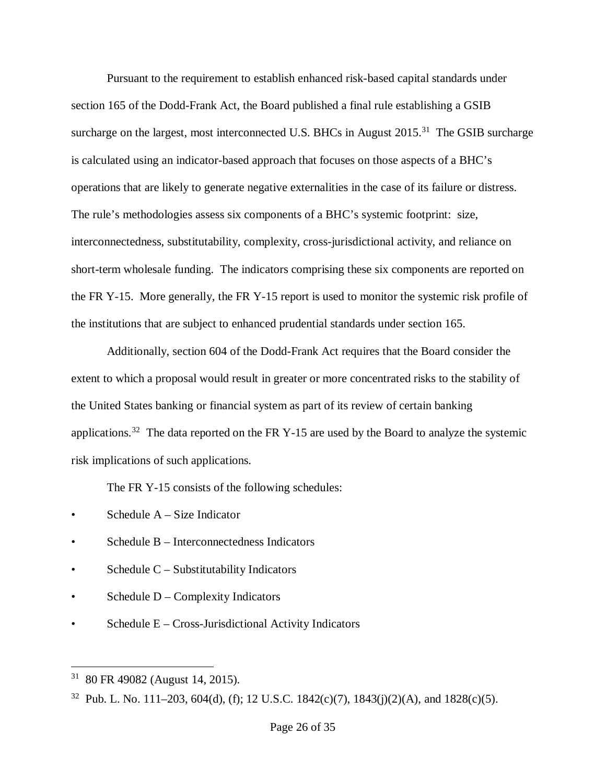Pursuant to the requirement to establish enhanced risk-based capital standards under section 165 of the Dodd-Frank Act, the Board published a final rule establishing a GSIB surcharge on the largest, most interconnected U.S. BHCs in August  $2015$ <sup>[31](#page-25-0)</sup>. The GSIB surcharge is calculated using an indicator-based approach that focuses on those aspects of a BHC's operations that are likely to generate negative externalities in the case of its failure or distress. The rule's methodologies assess six components of a BHC's systemic footprint: size, interconnectedness, substitutability, complexity, cross-jurisdictional activity, and reliance on short-term wholesale funding. The indicators comprising these six components are reported on the FR Y-15. More generally, the FR Y-15 report is used to monitor the systemic risk profile of the institutions that are subject to enhanced prudential standards under section 165.

Additionally, section 604 of the Dodd-Frank Act requires that the Board consider the extent to which a proposal would result in greater or more concentrated risks to the stability of the United States banking or financial system as part of its review of certain banking applications.<sup>[32](#page-25-1)</sup> The data reported on the FR Y-15 are used by the Board to analyze the systemic risk implications of such applications.

The FR Y-15 consists of the following schedules:

- Schedule  $A Size$  Indicator
- Schedule B Interconnectedness Indicators
- Schedule  $C -$  Substitutability Indicators
- Schedule  $D$  Complexity Indicators
- Schedule E Cross-Jurisdictional Activity Indicators

<span id="page-25-0"></span> <sup>31</sup> 80 FR 49082 (August 14, 2015).

<span id="page-25-1"></span><sup>&</sup>lt;sup>32</sup> Pub. L. No. 111–203, 604(d), (f); 12 U.S.C. 1842(c)(7), 1843(j)(2)(A), and 1828(c)(5).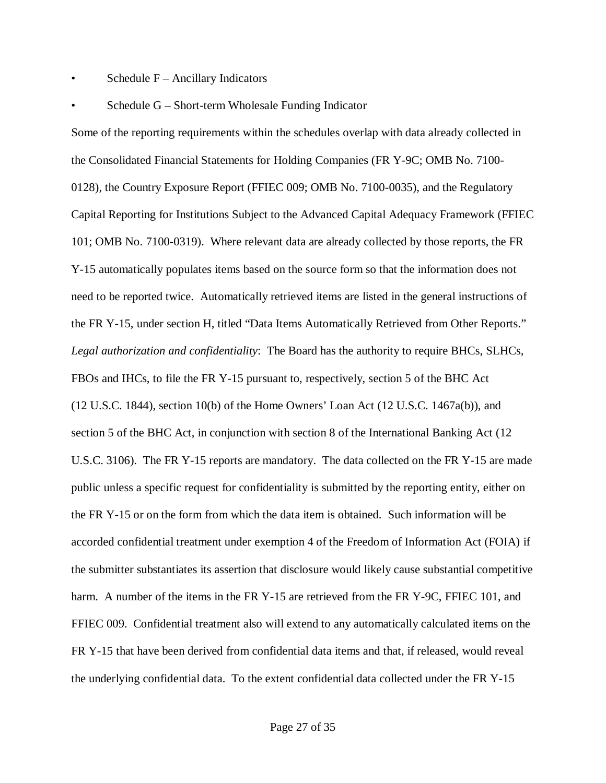- Schedule  $F -$  Ancillary Indicators
- Schedule G Short-term Wholesale Funding Indicator

Some of the reporting requirements within the schedules overlap with data already collected in the Consolidated Financial Statements for Holding Companies (FR Y-9C; OMB No. 7100- 0128), the Country Exposure Report (FFIEC 009; OMB No. 7100-0035), and the Regulatory Capital Reporting for Institutions Subject to the Advanced Capital Adequacy Framework (FFIEC 101; OMB No. 7100-0319). Where relevant data are already collected by those reports, the FR Y-15 automatically populates items based on the source form so that the information does not need to be reported twice. Automatically retrieved items are listed in the general instructions of the FR Y-15, under section H, titled "Data Items Automatically Retrieved from Other Reports." *Legal authorization and confidentiality*: The Board has the authority to require BHCs, SLHCs, FBOs and IHCs, to file the FR Y-15 pursuant to, respectively, section 5 of the BHC Act (12 U.S.C. 1844), section 10(b) of the Home Owners' Loan Act (12 U.S.C. 1467a(b)), and section 5 of the BHC Act, in conjunction with section 8 of the International Banking Act (12 U.S.C. 3106). The FR Y-15 reports are mandatory. The data collected on the FR Y-15 are made public unless a specific request for confidentiality is submitted by the reporting entity, either on the FR Y-15 or on the form from which the data item is obtained. Such information will be accorded confidential treatment under exemption 4 of the Freedom of Information Act (FOIA) if the submitter substantiates its assertion that disclosure would likely cause substantial competitive harm. A number of the items in the FR Y-15 are retrieved from the FR Y-9C, FFIEC 101, and FFIEC 009. Confidential treatment also will extend to any automatically calculated items on the FR Y-15 that have been derived from confidential data items and that, if released, would reveal the underlying confidential data. To the extent confidential data collected under the FR Y-15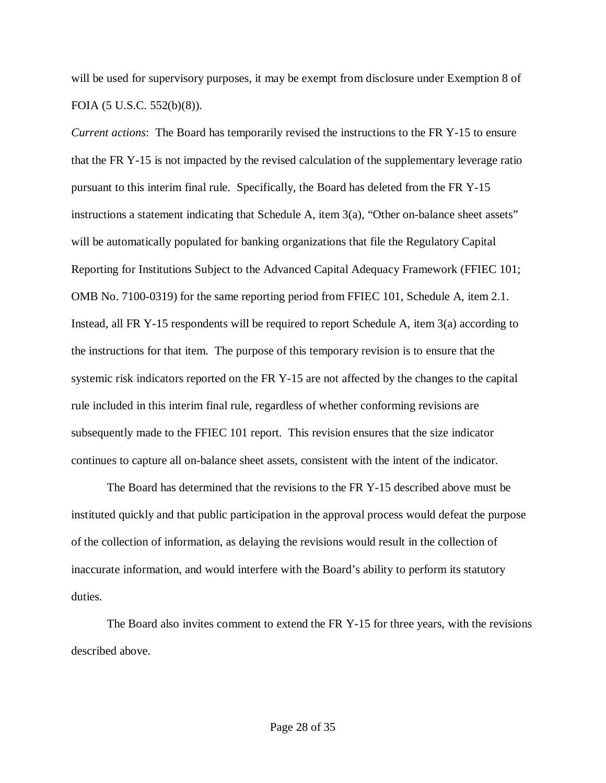will be used for supervisory purposes, it may be exempt from disclosure under Exemption 8 of FOIA (5 U.S.C. 552(b)(8)).

*Current actions*: The Board has temporarily revised the instructions to the FR Y-15 to ensure that the FR Y-15 is not impacted by the revised calculation of the supplementary leverage ratio pursuant to this interim final rule. Specifically, the Board has deleted from the FR Y-15 instructions a statement indicating that Schedule A, item 3(a), "Other on-balance sheet assets" will be automatically populated for banking organizations that file the Regulatory Capital Reporting for Institutions Subject to the Advanced Capital Adequacy Framework (FFIEC 101; OMB No. 7100-0319) for the same reporting period from FFIEC 101, Schedule A, item 2.1. Instead, all FR Y-15 respondents will be required to report Schedule A, item 3(a) according to the instructions for that item. The purpose of this temporary revision is to ensure that the systemic risk indicators reported on the FR Y-15 are not affected by the changes to the capital rule included in this interim final rule, regardless of whether conforming revisions are subsequently made to the FFIEC 101 report. This revision ensures that the size indicator continues to capture all on-balance sheet assets, consistent with the intent of the indicator.

The Board has determined that the revisions to the FR Y-15 described above must be instituted quickly and that public participation in the approval process would defeat the purpose of the collection of information, as delaying the revisions would result in the collection of inaccurate information, and would interfere with the Board's ability to perform its statutory duties.

The Board also invites comment to extend the FR Y-15 for three years, with the revisions described above.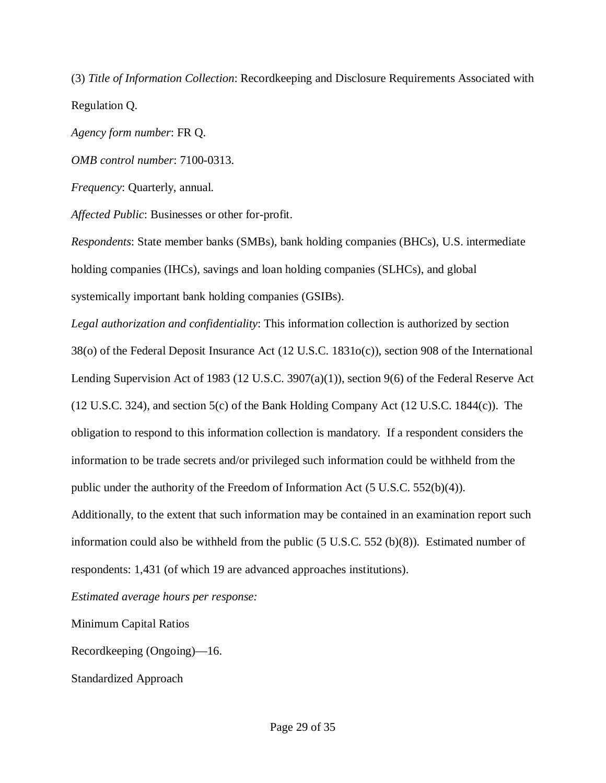(3) *Title of Information Collection*: Recordkeeping and Disclosure Requirements Associated with Regulation Q.

*Agency form number*: FR Q.

*OMB control number*: 7100-0313.

*Frequency*: Quarterly, annual.

*Affected Public*: Businesses or other for-profit.

*Respondents*: State member banks (SMBs), bank holding companies (BHCs), U.S. intermediate holding companies (IHCs), savings and loan holding companies (SLHCs), and global systemically important bank holding companies (GSIBs).

*Legal authorization and confidentiality*: This information collection is authorized by section 38(o) of the Federal Deposit Insurance Act (12 U.S.C. 1831o(c)), section 908 of the International Lending Supervision Act of 1983 (12 U.S.C. 3907(a)(1)), section 9(6) of the Federal Reserve Act (12 U.S.C. 324), and section 5(c) of the Bank Holding Company Act (12 U.S.C. 1844(c)). The obligation to respond to this information collection is mandatory. If a respondent considers the information to be trade secrets and/or privileged such information could be withheld from the public under the authority of the Freedom of Information Act (5 U.S.C. 552(b)(4)).

Additionally, to the extent that such information may be contained in an examination report such information could also be withheld from the public (5 U.S.C. 552 (b)(8)). Estimated number of respondents: 1,431 (of which 19 are advanced approaches institutions).

*Estimated average hours per response:*

Minimum Capital Ratios

Recordkeeping (Ongoing)—16.

Standardized Approach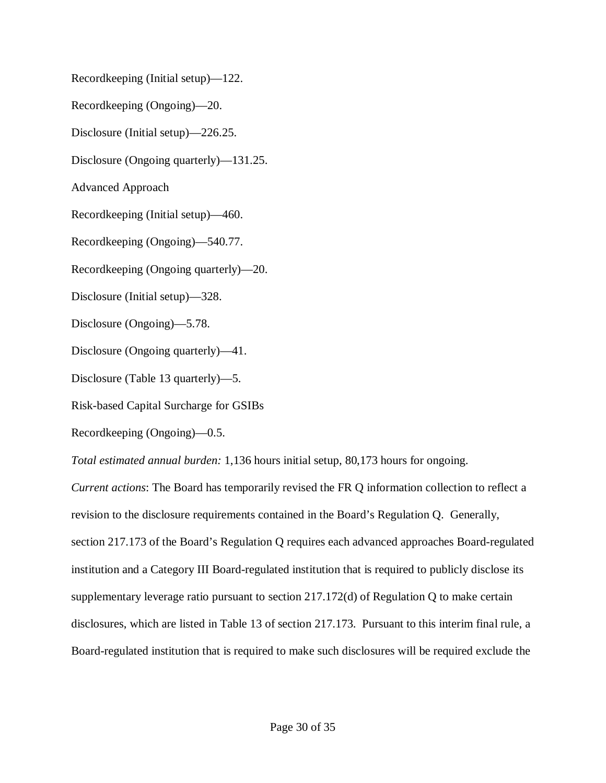Recordkeeping (Initial setup)—122. Recordkeeping (Ongoing)—20. Disclosure (Initial setup)—226.25. Disclosure (Ongoing quarterly)—131.25. Advanced Approach Recordkeeping (Initial setup)—460. Recordkeeping (Ongoing)—540.77. Recordkeeping (Ongoing quarterly)—20. Disclosure (Initial setup)—328. Disclosure (Ongoing)—5.78. Disclosure (Ongoing quarterly)—41. Disclosure (Table 13 quarterly)—5. Risk-based Capital Surcharge for GSIBs Recordkeeping (Ongoing)—0.5. *Total estimated annual burden:* 1,136 hours initial setup, 80,173 hours for ongoing. *Current actions*: The Board has temporarily revised the FR Q information collection to reflect a

revision to the disclosure requirements contained in the Board's Regulation Q. Generally, section 217.173 of the Board's Regulation Q requires each advanced approaches Board-regulated institution and a Category III Board-regulated institution that is required to publicly disclose its supplementary leverage ratio pursuant to section 217.172(d) of Regulation Q to make certain disclosures, which are listed in Table 13 of section 217.173. Pursuant to this interim final rule, a Board-regulated institution that is required to make such disclosures will be required exclude the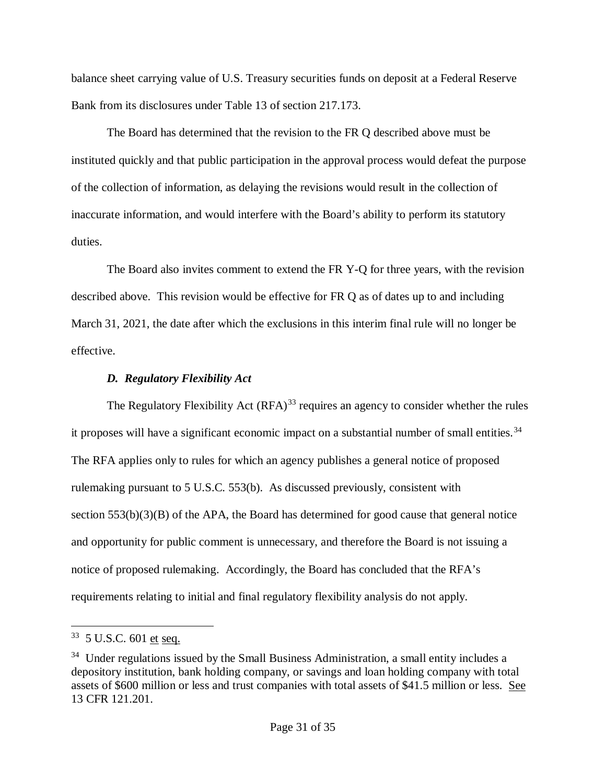balance sheet carrying value of U.S. Treasury securities funds on deposit at a Federal Reserve Bank from its disclosures under Table 13 of section 217.173.

The Board has determined that the revision to the FR Q described above must be instituted quickly and that public participation in the approval process would defeat the purpose of the collection of information, as delaying the revisions would result in the collection of inaccurate information, and would interfere with the Board's ability to perform its statutory duties.

The Board also invites comment to extend the FR Y-Q for three years, with the revision described above. This revision would be effective for FR Q as of dates up to and including March 31, 2021, the date after which the exclusions in this interim final rule will no longer be effective.

## *D. Regulatory Flexibility Act*

The Regulatory Flexibility Act  $(RFA)^{33}$  $(RFA)^{33}$  $(RFA)^{33}$  requires an agency to consider whether the rules it proposes will have a significant economic impact on a substantial number of small entities.<sup>34</sup> The RFA applies only to rules for which an agency publishes a general notice of proposed rulemaking pursuant to 5 U.S.C. 553(b). As discussed previously, consistent with section  $553(b)(3)(B)$  of the APA, the Board has determined for good cause that general notice and opportunity for public comment is unnecessary, and therefore the Board is not issuing a notice of proposed rulemaking. Accordingly, the Board has concluded that the RFA's requirements relating to initial and final regulatory flexibility analysis do not apply.

<span id="page-30-0"></span><sup>33 5</sup> U.S.C. 601 et seq.

<span id="page-30-1"></span> $34$  Under regulations issued by the Small Business Administration, a small entity includes a depository institution, bank holding company, or savings and loan holding company with total assets of \$600 million or less and trust companies with total assets of \$41.5 million or less. See 13 CFR 121.201.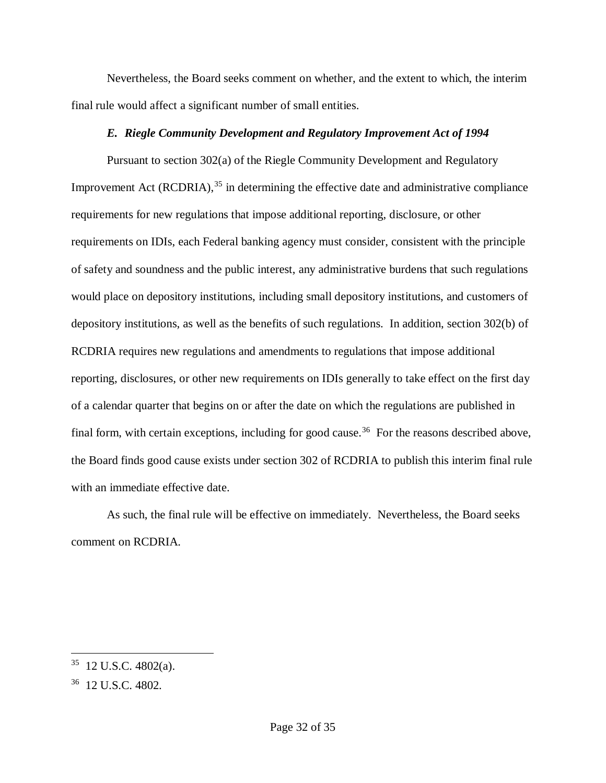Nevertheless, the Board seeks comment on whether, and the extent to which, the interim final rule would affect a significant number of small entities.

#### *E. Riegle Community Development and Regulatory Improvement Act of 1994*

Pursuant to section 302(a) of the Riegle Community Development and Regulatory Improvement Act (RCDRIA),  $35$  in determining the effective date and administrative compliance requirements for new regulations that impose additional reporting, disclosure, or other requirements on IDIs, each Federal banking agency must consider, consistent with the principle of safety and soundness and the public interest, any administrative burdens that such regulations would place on depository institutions, including small depository institutions, and customers of depository institutions, as well as the benefits of such regulations. In addition, section 302(b) of RCDRIA requires new regulations and amendments to regulations that impose additional reporting, disclosures, or other new requirements on IDIs generally to take effect on the first day of a calendar quarter that begins on or after the date on which the regulations are published in final form, with certain exceptions, including for good cause.<sup>[36](#page-31-1)</sup> For the reasons described above, the Board finds good cause exists under section 302 of RCDRIA to publish this interim final rule with an immediate effective date.

As such, the final rule will be effective on immediately. Nevertheless, the Board seeks comment on RCDRIA.

 $35$  12 U.S.C. 4802(a).

<span id="page-31-1"></span><span id="page-31-0"></span><sup>36 12</sup> U.S.C. 4802.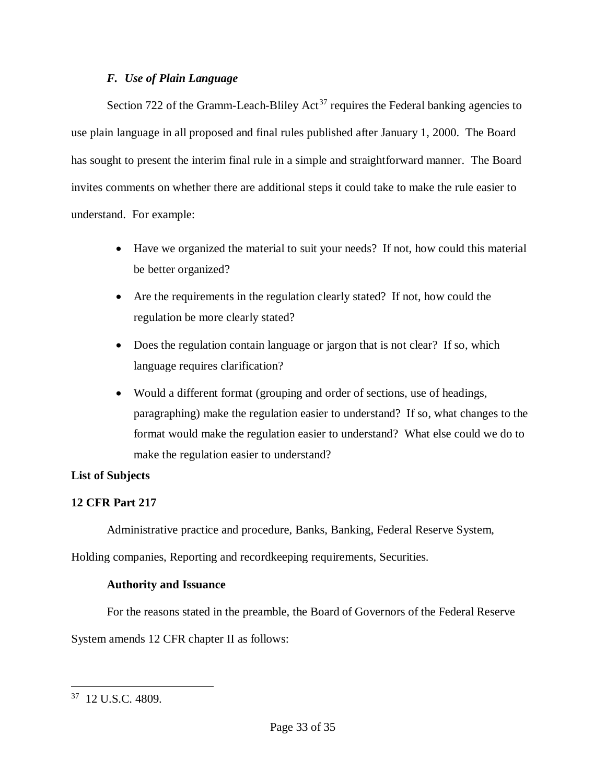## *F. Use of Plain Language*

Section 722 of the Gramm-Leach-Bliley Act<sup>[37](#page-32-0)</sup> requires the Federal banking agencies to use plain language in all proposed and final rules published after January 1, 2000. The Board has sought to present the interim final rule in a simple and straightforward manner. The Board invites comments on whether there are additional steps it could take to make the rule easier to understand. For example:

- Have we organized the material to suit your needs? If not, how could this material be better organized?
- Are the requirements in the regulation clearly stated? If not, how could the regulation be more clearly stated?
- Does the regulation contain language or jargon that is not clear? If so, which language requires clarification?
- Would a different format (grouping and order of sections, use of headings, paragraphing) make the regulation easier to understand? If so, what changes to the format would make the regulation easier to understand? What else could we do to make the regulation easier to understand?

## **List of Subjects**

## **12 CFR Part 217**

Administrative practice and procedure, Banks, Banking, Federal Reserve System,

Holding companies, Reporting and recordkeeping requirements, Securities.

## **Authority and Issuance**

For the reasons stated in the preamble, the Board of Governors of the Federal Reserve

System amends 12 CFR chapter II as follows:

<span id="page-32-0"></span> <sup>37 12</sup> U.S.C. 4809.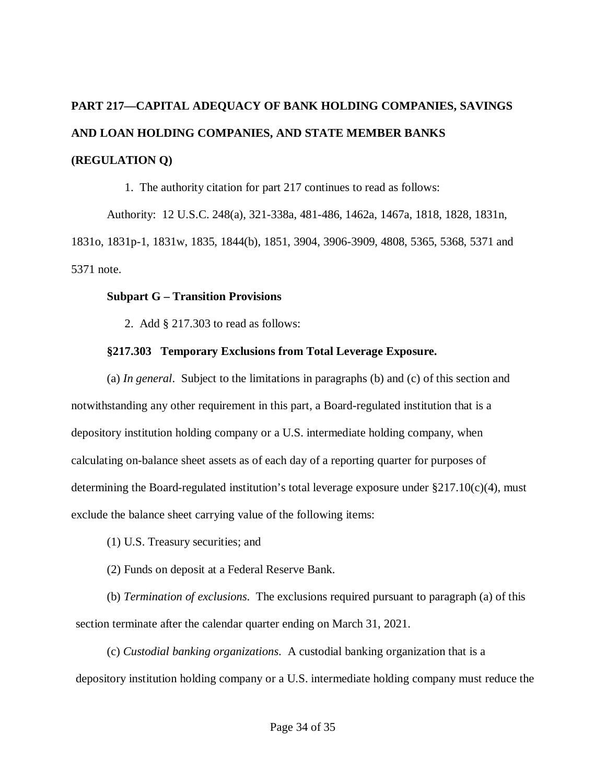# **PART 217—CAPITAL ADEQUACY OF BANK HOLDING COMPANIES, SAVINGS AND LOAN HOLDING COMPANIES, AND STATE MEMBER BANKS (REGULATION Q)**

1. The authority citation for part 217 continues to read as follows:

Authority: 12 U.S.C. 248(a), 321-338a, 481-486, 1462a, 1467a, 1818, 1828, 1831n, 1831o, 1831p-1, 1831w, 1835, 1844(b), 1851, 3904, 3906-3909, 4808, 5365, 5368, 5371 and 5371 note.

#### **Subpart G – Transition Provisions**

2. Add § 217.303 to read as follows:

## **§217.303 Temporary Exclusions from Total Leverage Exposure.**

(a) *In general*. Subject to the limitations in paragraphs (b) and (c) of this section and notwithstanding any other requirement in this part, a Board-regulated institution that is a depository institution holding company or a U.S. intermediate holding company, when calculating on-balance sheet assets as of each day of a reporting quarter for purposes of determining the Board-regulated institution's total leverage exposure under  $\S 217.10(c)(4)$ , must exclude the balance sheet carrying value of the following items:

- (1) U.S. Treasury securities; and
- (2) Funds on deposit at a Federal Reserve Bank.

(b) *Termination of exclusions*. The exclusions required pursuant to paragraph (a) of this section terminate after the calendar quarter ending on March 31, 2021.

(c) *Custodial banking organizations*. A custodial banking organization that is a depository institution holding company or a U.S. intermediate holding company must reduce the